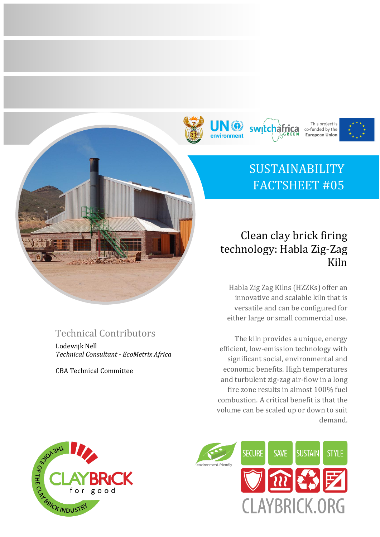







# SUSTAINABILITY FACTSHEET #05

## Clean clay brick firing technology: Habla Zig-Zag Kiln

Habla Zig Zag Kilns (HZZKs) offer an innovative and scalable kiln that is versatile and can be configured for either large or small commercial use.

The kiln provides a unique, energy efficient, low-emission technology with significant social, environmental and economic benefits. High temperatures and turbulent zig-zag air-flow in a long fire zone results in almost 100% fuel combustion. A critical benefit is that the volume can be scaled up or down to suit demand.



## Technical Contributors

Lodewijk Nell *Technical Consultant - EcoMetrix Africa*

CBA Technical Committee

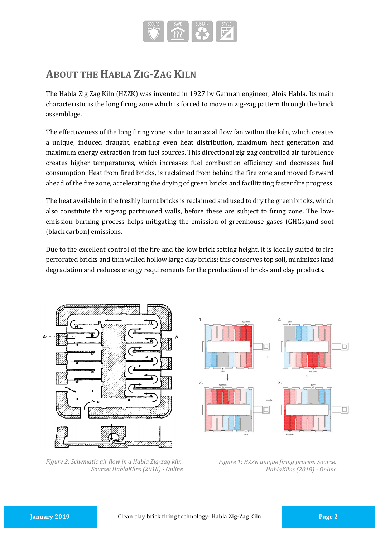

## **ABOUT THE HABLA ZIG-ZAG KILN**

The Habla Zig Zag Kiln (HZZK) was invented in 1927 by German engineer, Alois Habla. Its main characteristic is the long firing zone which is forced to move in zig-zag pattern through the brick assemblage.

The effectiveness of the long firing zone is due to an axial flow fan within the kiln, which creates a unique, induced draught, enabling even heat distribution, maximum heat generation and maximum energy extraction from fuel sources. This directional zig-zag controlled air turbulence creates higher temperatures, which increases fuel combustion efficiency and decreases fuel consumption. Heat from fired bricks, is reclaimed from behind the fire zone and moved forward ahead of the fire zone, accelerating the drying of green bricks and facilitating faster fire progress.

The heat available in the freshly burnt bricks is reclaimed and used to dry the green bricks, which also constitute the zig-zag partitioned walls, before these are subject to firing zone. The lowemission burning process helps mitigating the emission of greenhouse gases (GHGs)and soot (black carbon) emissions.

Due to the excellent control of the fire and the low brick setting height, it is ideally suited to fire perforated bricks and thin walled hollow large clay bricks; this conserves top soil, minimizes land degradation and reduces energy requirements for the production of bricks and clay products.



*Figure 2: Schematic air flow in a Habla Zig-zag kiln. Source: HablaKilns (2018) - Online*



*Figure 1: HZZK unique firing process Source: HablaKilns (2018) - Online*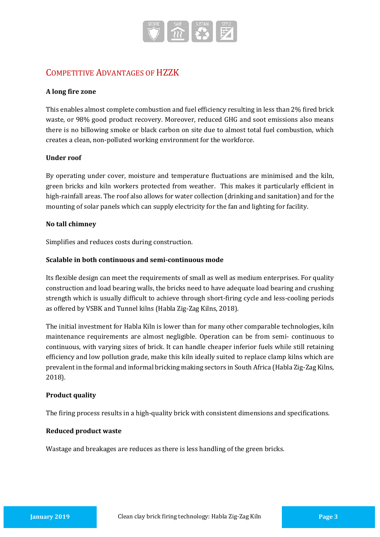

### COMPETITIVE ADVANTAGES OF HZZK

#### **A long fire zone**

This enables almost complete combustion and fuel efficiency resulting in less than 2% fired brick waste, or 98% good product recovery. Moreover, reduced GHG and soot emissions also means there is no billowing smoke or black carbon on site due to almost total fuel combustion, which creates a clean, non-polluted working environment for the workforce.

#### **Under roof**

By operating under cover, moisture and temperature fluctuations are minimised and the kiln, green bricks and kiln workers protected from weather. This makes it particularly efficient in high-rainfall areas. The roof also allows for water collection (drinking and sanitation) and for the mounting of solar panels which can supply electricity for the fan and lighting for facility.

#### **No tall chimney**

Simplifies and reduces costs during construction.

#### **Scalable in both continuous and semi-continuous mode**

Its flexible design can meet the requirements of small as well as medium enterprises. For quality construction and load bearing walls, the bricks need to have adequate load bearing and crushing strength which is usually difficult to achieve through short-firing cycle and less-cooling periods as offered by VSBK and Tunnel kilns (Habla Zig-Zag Kilns, 2018).

The initial investment for Habla Kiln is lower than for many other comparable technologies, kiln maintenance requirements are almost negligible. Operation can be from semi- continuous to continuous, with varying sizes of brick. It can handle cheaper inferior fuels while still retaining efficiency and low pollution grade, make this kiln ideally suited to replace clamp kilns which are prevalent in the formal and informal bricking making sectors in South Africa (Habla Zig-Zag Kilns, 2018).

#### **Product quality**

The firing process results in a high-quality brick with consistent dimensions and specifications.

#### **Reduced product waste**

Wastage and breakages are reduces as there is less handling of the green bricks.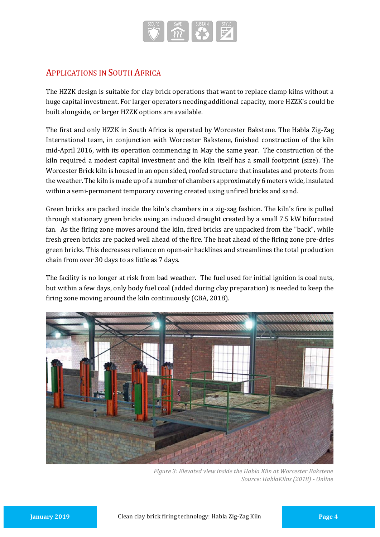

### APPLICATIONS IN SOUTH AFRICA

The HZZK design is suitable for clay brick operations that want to replace clamp kilns without a huge capital investment. For larger operators needing additional capacity, more HZZK's could be built alongside, or larger HZZK options are available.

The first and only HZZK in South Africa is operated by Worcester Bakstene. The Habla Zig-Zag International team, in conjunction with Worcester Bakstene, finished construction of the kiln mid-April 2016, with its operation commencing in May the same year. The construction of the kiln required a modest capital investment and the kiln itself has a small footprint (size). The Worcester Brick kiln is housed in an open sided, roofed structure that insulates and protects from the weather. The kiln is made up of a number of chambers approximately 6 meters wide, insulated within a semi-permanent temporary covering created using unfired bricks and sand.

Green bricks are packed inside the kiln's chambers in a zig-zag fashion. The kiln's fire is pulled through stationary green bricks using an induced draught created by a small 7.5 kW bifurcated fan. As the firing zone moves around the kiln, fired bricks are unpacked from the "back", while fresh green bricks are packed well ahead of the fire. The heat ahead of the firing zone pre-dries green bricks. This decreases reliance on open-air hacklines and streamlines the total production chain from over 30 days to as little as 7 days.

The facility is no longer at risk from bad weather. The fuel used for initial ignition is coal nuts, but within a few days, only body fuel coal (added during clay preparation) is needed to keep the firing zone moving around the kiln continuously (CBA, 2018).



*Figure 3: Elevated view inside the Habla Kiln at Worcester Bakstene Source: HablaKilns (2018) - Online*